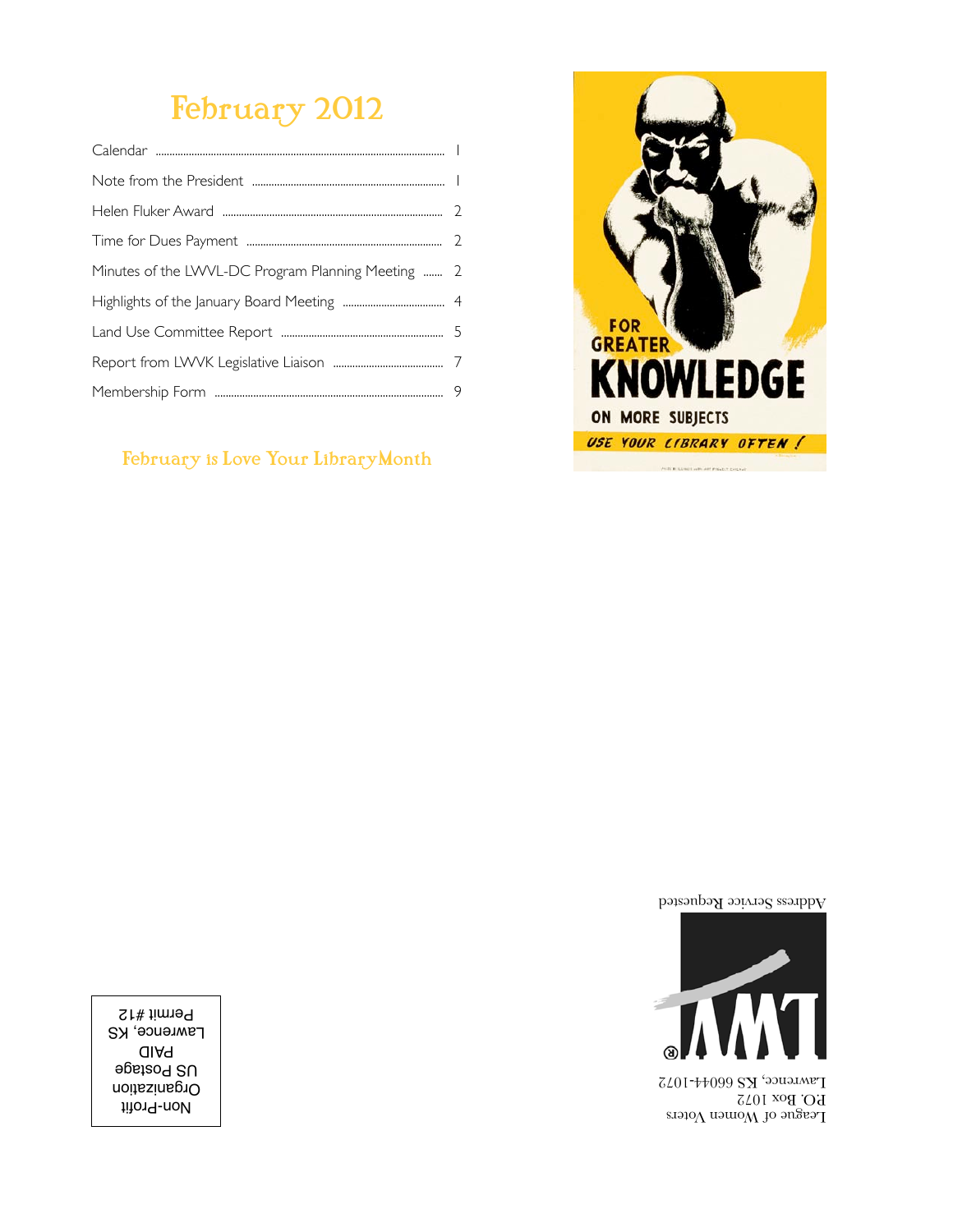# February 2012

| Minutes of the LWVL-DC Program Planning Meeting  2 |  |
|----------------------------------------------------|--|
|                                                    |  |
|                                                    |  |
|                                                    |  |
|                                                    |  |
|                                                    |  |

#### February is Love Your LibraryMonth



Address Service Requested



 $\Gamma$ eague of Women Voters P.O. Box 1072 Lawrence, KS 66044-1072

Non-Profit Organization US Postage PAID **Lawrence, KS** Permit #12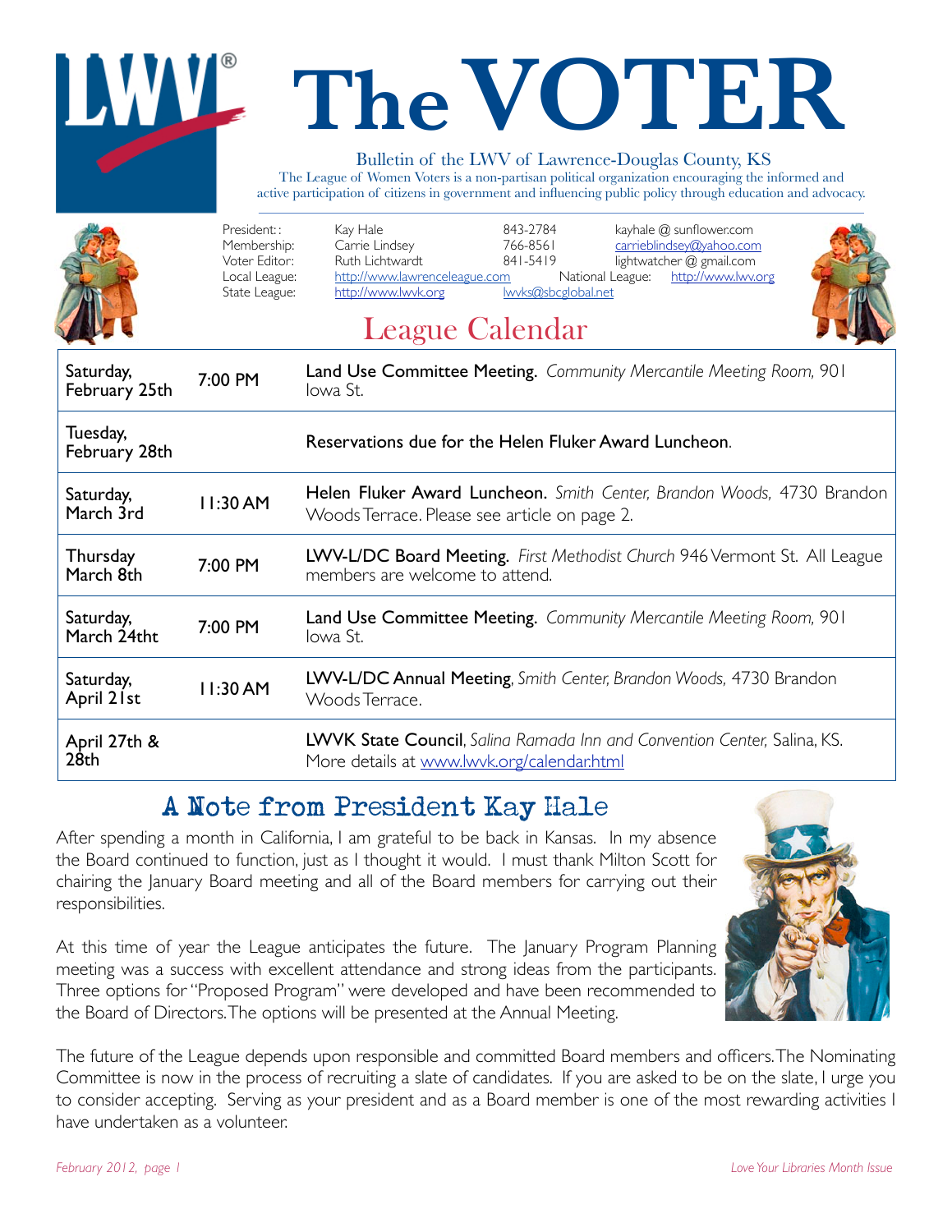# **The VOTER**

#### Bulletin of the LWV of Lawrence-Douglas County, KS

The League of Women Voters is a non-partisan political organization encouraging the informed and active participation of citizens in government and influencing public policy through education and advocacy.

|                                  | President::<br>Membership:<br>Voter Editor:<br>Local League:<br>State League:             | Kay Hale<br>843-2784<br>kayhale @ sunflower.com<br>Carrie Lindsey<br>766-8561<br>carrieblindsey@yahoo.com<br>Ruth Lichtwardt<br>841-5419<br>lightwatcher @ gmail.com<br>http://www.lawrenceleague.com<br>National League:<br>http://www.lwv.org<br>lwyks@sbcglobal.net<br>http://www.lwvk.org<br><b>League Calendar</b> |  |  |  |  |  |
|----------------------------------|-------------------------------------------------------------------------------------------|-------------------------------------------------------------------------------------------------------------------------------------------------------------------------------------------------------------------------------------------------------------------------------------------------------------------------|--|--|--|--|--|
| Saturday,<br>February 25th       | Land Use Committee Meeting. Community Mercantile Meeting Room, 901<br>7:00 PM<br>lowa St. |                                                                                                                                                                                                                                                                                                                         |  |  |  |  |  |
| Tuesday,<br>February 28th        |                                                                                           | Reservations due for the Helen Fluker Award Luncheon.                                                                                                                                                                                                                                                                   |  |  |  |  |  |
| Saturday,<br>March 3rd           | 11:30 AM                                                                                  | Helen Fluker Award Luncheon. Smith Center, Brandon Woods, 4730 Brandon<br>Woods Terrace. Please see article on page 2.                                                                                                                                                                                                  |  |  |  |  |  |
| Thursday<br>March 8th            | 7:00 PM                                                                                   | LWV-L/DC Board Meeting. First Methodist Church 946 Vermont St. All League<br>members are welcome to attend.                                                                                                                                                                                                             |  |  |  |  |  |
| Saturday,<br>March 24tht         | 7:00 PM                                                                                   | <b>Land Use Committee Meeting.</b> Community Mercantile Meeting Room, 901<br>lowa St.                                                                                                                                                                                                                                   |  |  |  |  |  |
| Saturday,<br>April 21st          | 11:30 AM                                                                                  | LWV-L/DC Annual Meeting, Smith Center, Brandon Woods, 4730 Brandon<br>Woods Terrace.                                                                                                                                                                                                                                    |  |  |  |  |  |
| April 27th &<br>28 <sub>th</sub> |                                                                                           | LWVK State Council, Salina Ramada Inn and Convention Center, Salina, KS.<br>More details at www.lwyk.org/calendar.html                                                                                                                                                                                                  |  |  |  |  |  |

# A Note from President Kay Hale

After spending a month in California, I am grateful to be back in Kansas. In my absence the Board continued to function, just as I thought it would. I must thank Milton Scott for chairing the January Board meeting and all of the Board members for carrying out their responsibilities.

At this time of year the League anticipates the future. The January Program Planning meeting was a success with excellent attendance and strong ideas from the participants. Three options for "Proposed Program" were developed and have been recommended to the Board of Directors. The options will be presented at the Annual Meeting.



The future of the League depends upon responsible and committed Board members and officers. The Nominating Committee is now in the process of recruiting a slate of candidates. If you are asked to be on the slate, I urge you to consider accepting. Serving as your president and as a Board member is one of the most rewarding activities I have undertaken as a volunteer.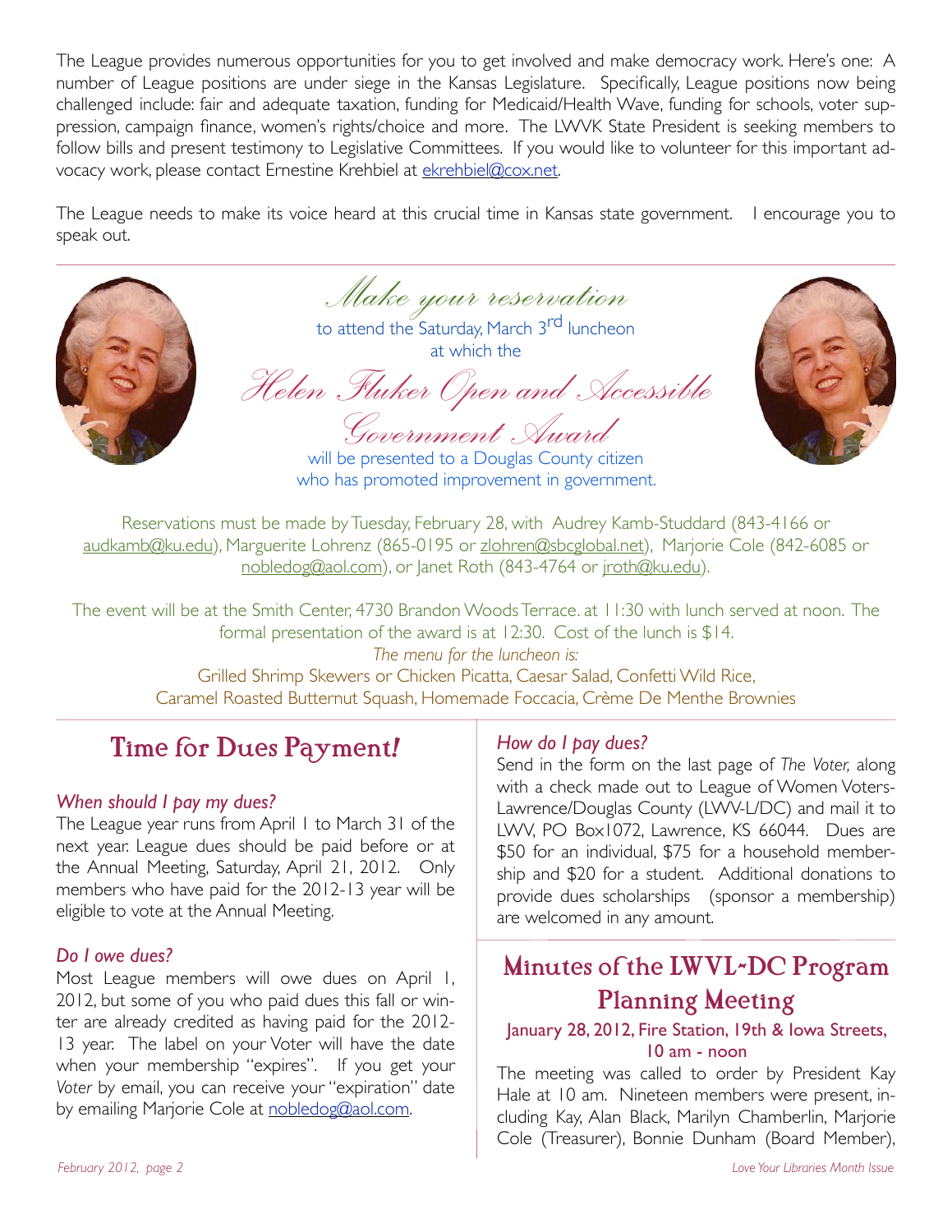The League provides numerous opportunities for you to get involved and make democracy work. Here's one: A number of League positions are under siege in the Kansas Legislature. Specifically, League positions now being challenged include: fair and adequate taxation, funding for Medicaid/Health Wave, funding for schools, voter suppression, campaign finance, women's rights/choice and more. The LWVK State President is seeking members to follow bills and present testimony to Legislative Committees. If you would like to volunteer for this important advocacy work, please contact Ernestine Krehbiel at ekrehbiel@cox.net.

The League needs to make its voice heard at this crucial time in Kansas state government. I encourage you to speak out.



*Make your reservation* to attend the Saturday, March 3<sup>rd</sup> luncheon

at which the

*Helen Fluker Open and Accessible* 



*Government Award*  will be presented to a Douglas County citizen who has promoted improvement in government.

Reservations must be made by Tuesday, February 28, with Audrey Kamb-Studdard (843-4166 or audkamb@ku.edu), Marguerite Lohrenz (865-0195 or zlohren@sbcglobal.net), Marjorie Cole (842-6085 or nobledog@aol.com), or Janet Roth (843-4764 or jroth@ku.edu).

The event will be at the Smith Center, 4730 Brandon Woods Terrace. at 11:30 with lunch served at noon. The formal presentation of the award is at 12:30. Cost of the lunch is \$14. *The menu for the luncheon is:* Grilled Shrimp Skewers or Chicken Picatta, Caesar Salad, Confetti Wild Rice, Caramel Roasted Butternut Squash, Homemade Foccacia, Crème De Menthe Brownies

# Time for Dues Payment!

#### *When should I pay my dues?*

The League year runs from April 1 to March 31 of the next year. League dues should be paid before or at the Annual Meeting, Saturday, April 21, 2012. Only members who have paid for the 2012-13 year will be eligible to vote at the Annual Meeting.

#### *Do I owe dues?*

Most League members will owe dues on April 1, 2012, but some of you who paid dues this fall or winter are already credited as having paid for the 2012- 13 year. The label on your Voter will have the date when your membership "expires". If you get your *Voter* by email, you can receive your "expiration" date by emailing Marjorie Cole at nobledog@aol.com.

#### *How do I pay dues?*

Send in the form on the last page of *The Voter,* along with a check made out to League of Women Voters-Lawrence/Douglas County (LWV-L/DC) and mail it to LWV, PO Box1072, Lawrence, KS 66044. Dues are \$50 for an individual, \$75 for a household membership and \$20 for a student. Additional donations to provide dues scholarships (sponsor a membership) are welcomed in any amount.

# Minutes of the LWVL-DC Program Planning Meeting

#### January 28, 2012, Fire Station, 19th & Iowa Streets, 10 am - noon

The meeting was called to order by President Kay Hale at 10 am. Nineteen members were present, including Kay, Alan Black, Marilyn Chamberlin, Marjorie Cole (Treasurer), Bonnie Dunham (Board Member),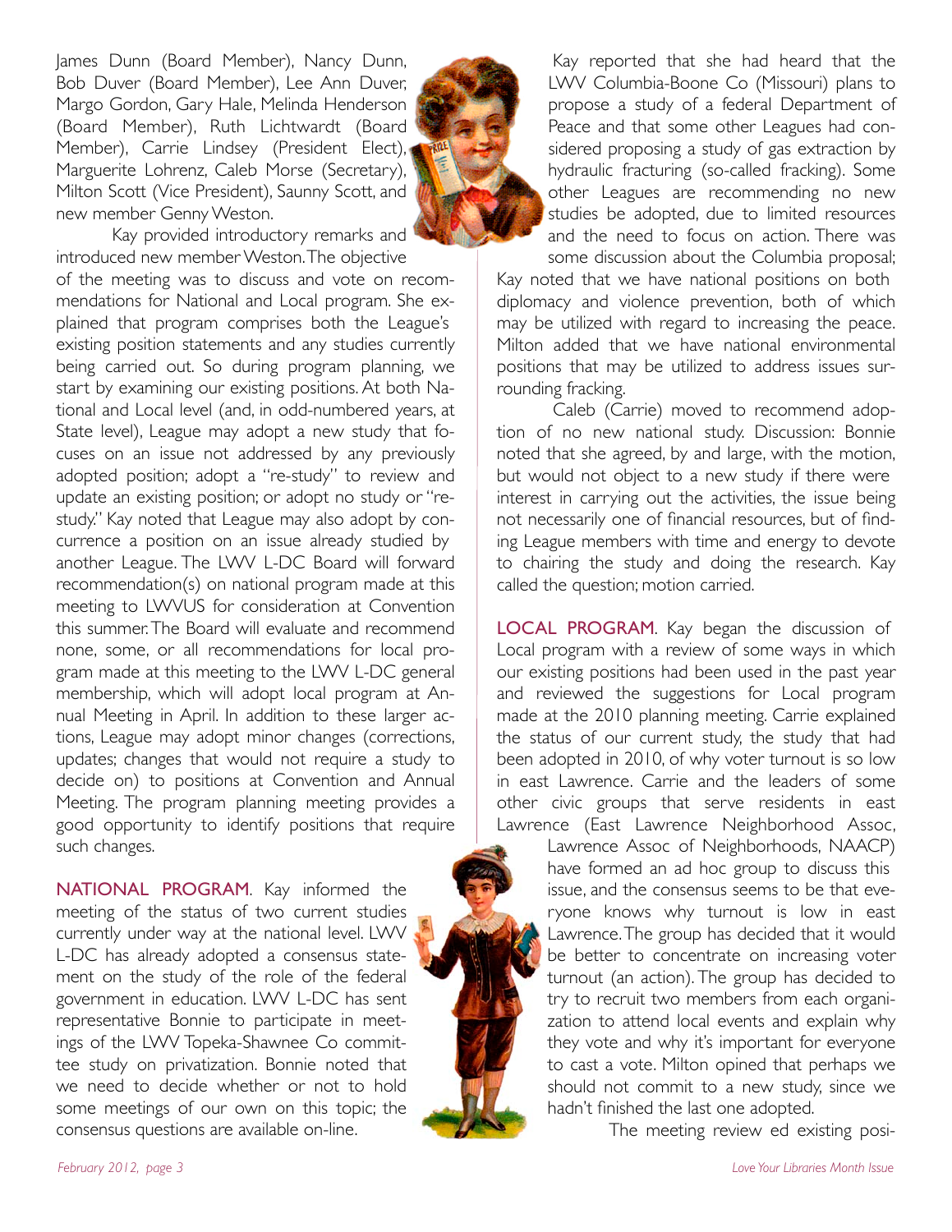James Dunn (Board Member), Nancy Dunn, Bob Duver (Board Member), Lee Ann Duver, Margo Gordon, Gary Hale, Melinda Henderson (Board Member), Ruth Lichtwardt (Board Member), Carrie Lindsey (President Elect), Marguerite Lohrenz, Caleb Morse (Secretary), Milton Scott (Vice President), Saunny Scott, and new member Genny Weston.



Kay provided introductory remarks and introduced new member Weston. The objective of the meeting was to discuss and vote on recommendations for National and Local program. She explained that program comprises both the League's existing position statements and any studies currently being carried out. So during program planning, we start by examining our existing positions. At both National and Local level (and, in odd-numbered years, at State level), League may adopt a new study that focuses on an issue not addressed by any previously adopted position; adopt a "re-study" to review and update an existing position; or adopt no study or "restudy." Kay noted that League may also adopt by concurrence a position on an issue already studied by another League. The LWV L-DC Board will forward recommendation(s) on national program made at this meeting to LWVUS for consideration at Convention this summer. The Board will evaluate and recommend none, some, or all recommendations for local program made at this meeting to the LWV L-DC general membership, which will adopt local program at Annual Meeting in April. In addition to these larger actions, League may adopt minor changes (corrections, updates; changes that would not require a study to decide on) to positions at Convention and Annual Meeting. The program planning meeting provides a good opportunity to identify positions that require such changes.

NATIONAL PROGRAM. Kay informed the meeting of the status of two current studies currently under way at the national level. LWV L-DC has already adopted a consensus statement on the study of the role of the federal government in education. LWV L-DC has sent representative Bonnie to participate in meetings of the LWV Topeka-Shawnee Co committee study on privatization. Bonnie noted that we need to decide whether or not to hold some meetings of our own on this topic; the consensus questions are available on-line.

Kay reported that she had heard that the LWV Columbia-Boone Co (Missouri) plans to propose a study of a federal Department of Peace and that some other Leagues had considered proposing a study of gas extraction by hydraulic fracturing (so-called fracking). Some other Leagues are recommending no new studies be adopted, due to limited resources and the need to focus on action. There was

some discussion about the Columbia proposal; Kay noted that we have national positions on both diplomacy and violence prevention, both of which may be utilized with regard to increasing the peace. Milton added that we have national environmental positions that may be utilized to address issues surrounding fracking.

Caleb (Carrie) moved to recommend adoption of no new national study. Discussion: Bonnie noted that she agreed, by and large, with the motion, but would not object to a new study if there were interest in carrying out the activities, the issue being not necessarily one of financial resources, but of finding League members with time and energy to devote to chairing the study and doing the research. Kay called the question; motion carried.

LOCAL PROGRAM. Kay began the discussion of Local program with a review of some ways in which our existing positions had been used in the past year and reviewed the suggestions for Local program made at the 2010 planning meeting. Carrie explained the status of our current study, the study that had been adopted in 2010, of why voter turnout is so low in east Lawrence. Carrie and the leaders of some other civic groups that serve residents in east Lawrence (East Lawrence Neighborhood Assoc,

> Lawrence Assoc of Neighborhoods, NAACP) have formed an ad hoc group to discuss this issue, and the consensus seems to be that everyone knows why turnout is low in east Lawrence. The group has decided that it would be better to concentrate on increasing voter turnout (an action). The group has decided to try to recruit two members from each organization to attend local events and explain why they vote and why it's important for everyone to cast a vote. Milton opined that perhaps we should not commit to a new study, since we hadn't finished the last one adopted.

> > The meeting review ed existing posi-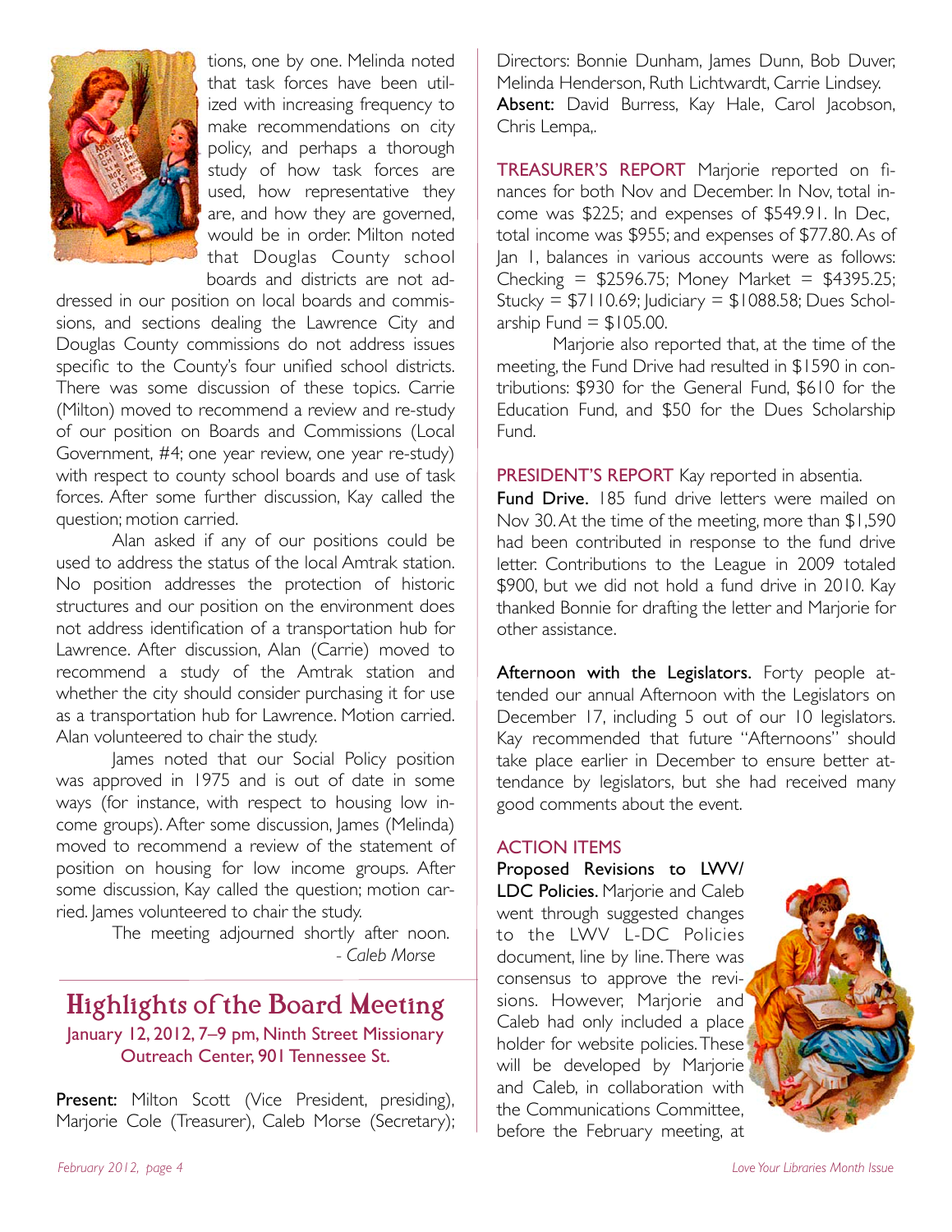

tions, one by one. Melinda noted that task forces have been utilized with increasing frequency to make recommendations on city policy, and perhaps a thorough study of how task forces are used, how representative they are, and how they are governed, would be in order. Milton noted that Douglas County school boards and districts are not ad-

dressed in our position on local boards and commissions, and sections dealing the Lawrence City and Douglas County commissions do not address issues specific to the County's four unified school districts. There was some discussion of these topics. Carrie (Milton) moved to recommend a review and re-study of our position on Boards and Commissions (Local Government, #4; one year review, one year re-study) with respect to county school boards and use of task forces. After some further discussion, Kay called the question; motion carried.

Alan asked if any of our positions could be used to address the status of the local Amtrak station. No position addresses the protection of historic structures and our position on the environment does not address identification of a transportation hub for Lawrence. After discussion, Alan (Carrie) moved to recommend a study of the Amtrak station and whether the city should consider purchasing it for use as a transportation hub for Lawrence. Motion carried. Alan volunteered to chair the study.

James noted that our Social Policy position was approved in 1975 and is out of date in some ways (for instance, with respect to housing low income groups). After some discussion, James (Melinda) moved to recommend a review of the statement of position on housing for low income groups. After some discussion, Kay called the question; motion carried. lames volunteered to chair the study.

> The meeting adjourned shortly after noon. """"" *- Caleb Morse*

#### Highlights of the Board Meeting January 12, 2012, 7–9 pm, Ninth Street Missionary Outreach Center, 901 Tennessee St.

Present: Milton Scott (Vice President, presiding), Marjorie Cole (Treasurer), Caleb Morse (Secretary); Directors: Bonnie Dunham, James Dunn, Bob Duver, Melinda Henderson, Ruth Lichtwardt, Carrie Lindsey. Absent: David Burress, Kay Hale, Carol Jacobson, Chris Lempa,.

TREASURER'S REPORT Marjorie reported on finances for both Nov and December. In Nov, total income was \$225; and expenses of \$549.91. In Dec, total income was \$955; and expenses of \$77.80. As of Jan 1, balances in various accounts were as follows: Checking = \$2596.75; Money Market = \$4395.25; Stucky =  $$7110.69$ ; Judiciary =  $$1088.58$ ; Dues Scholarship Fund  $=$  \$105.00.

Marjorie also reported that, at the time of the meeting, the Fund Drive had resulted in \$1590 in contributions: \$930 for the General Fund, \$610 for the Education Fund, and \$50 for the Dues Scholarship Fund.

PRESIDENT'S REPORT Kay reported in absentia.

Fund Drive. 185 fund drive letters were mailed on Nov 30. At the time of the meeting, more than \$1,590 had been contributed in response to the fund drive letter. Contributions to the League in 2009 totaled \$900, but we did not hold a fund drive in 2010. Kay thanked Bonnie for drafting the letter and Marjorie for other assistance.

Afternoon with the Legislators. Forty people attended our annual Afternoon with the Legislators on December 17, including 5 out of our 10 legislators. Kay recommended that future "Afternoons" should take place earlier in December to ensure better attendance by legislators, but she had received many good comments about the event.

#### ACTION ITEMS

Proposed Revisions to LWV/ LDC Policies. Marjorie and Caleb went through suggested changes to the LWV L-DC Policies document, line by line. There was consensus to approve the revisions. However, Marjorie and Caleb had only included a place holder for website policies. These will be developed by Marjorie and Caleb, in collaboration with the Communications Committee, before the February meeting, at

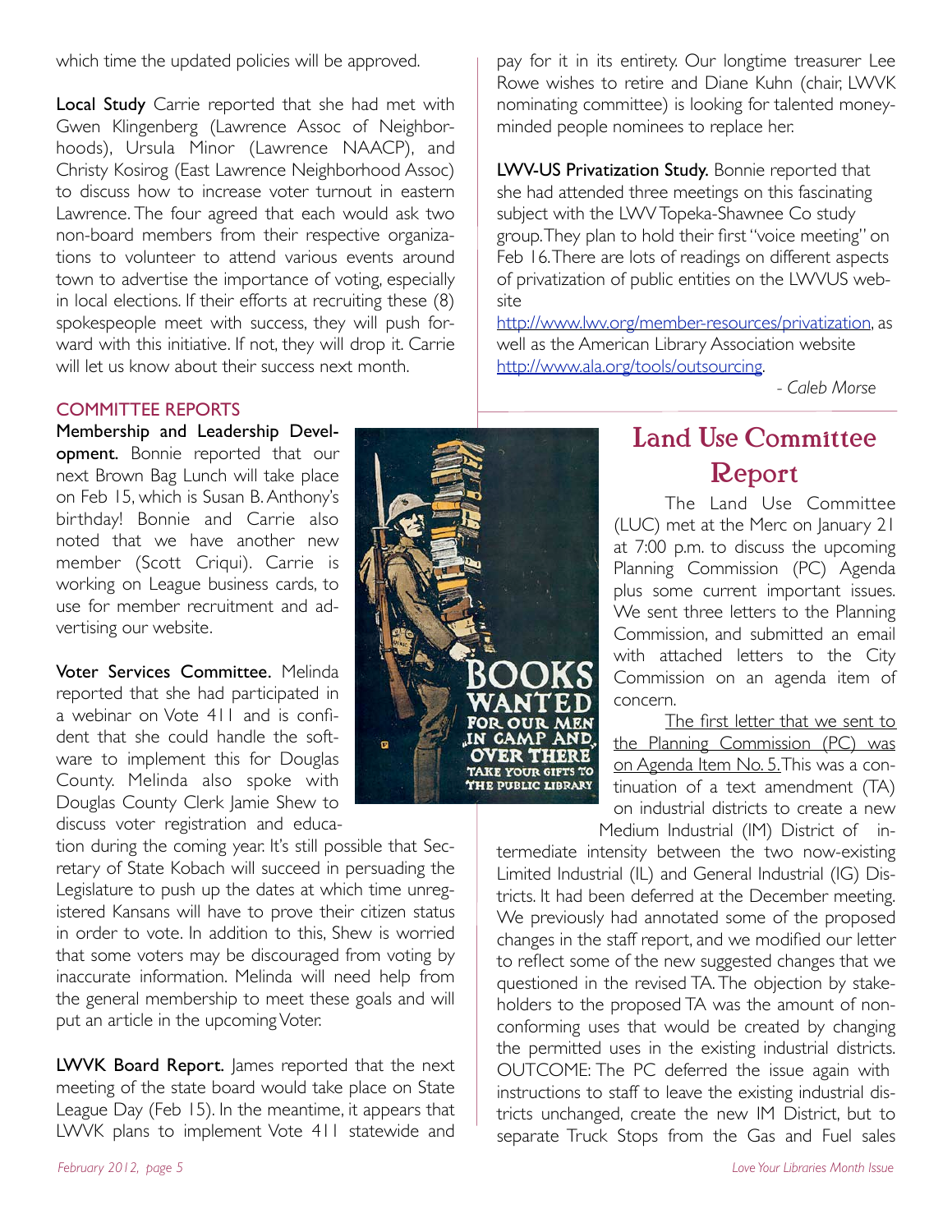which time the updated policies will be approved.

Local Study Carrie reported that she had met with Gwen Klingenberg (Lawrence Assoc of Neighborhoods), Ursula Minor (Lawrence NAACP), and Christy Kosirog (East Lawrence Neighborhood Assoc) to discuss how to increase voter turnout in eastern Lawrence. The four agreed that each would ask two non-board members from their respective organizations to volunteer to attend various events around town to advertise the importance of voting, especially in local elections. If their efforts at recruiting these (8) spokespeople meet with success, they will push forward with this initiative. If not, they will drop it. Carrie will let us know about their success next month.

#### COMMITTEE REPORTS

Membership and Leadership Development. Bonnie reported that our next Brown Bag Lunch will take place on Feb 15, which is Susan B. Anthony's birthday! Bonnie and Carrie also noted that we have another new member (Scott Criqui). Carrie is working on League business cards, to use for member recruitment and advertising our website.

Voter Services Committee. Melinda reported that she had participated in a webinar on Vote 411 and is confident that she could handle the software to implement this for Douglas County. Melinda also spoke with Douglas County Clerk Jamie Shew to discuss voter registration and educa-

tion during the coming year. It's still possible that Secretary of State Kobach will succeed in persuading the Legislature to push up the dates at which time unregistered Kansans will have to prove their citizen status in order to vote. In addition to this, Shew is worried that some voters may be discouraged from voting by inaccurate information. Melinda will need help from the general membership to meet these goals and will put an article in the upcoming Voter.

LWVK Board Report. James reported that the next meeting of the state board would take place on State League Day (Feb 15). In the meantime, it appears that LWVK plans to implement Vote 411 statewide and

pay for it in its entirety. Our longtime treasurer Lee Rowe wishes to retire and Diane Kuhn (chair, LWVK nominating committee) is looking for talented moneyminded people nominees to replace her.

LWV-US Privatization Study. Bonnie reported that she had attended three meetings on this fascinating subject with the LWV Topeka-Shawnee Co study group. They plan to hold their first "voice meeting" on Feb 16. There are lots of readings on different aspects of privatization of public entities on the LWVUS website

http://www.lwv.org/member-resources/privatization, as well as the American Library Association website http://www.ala.org/tools/outsourcing.

"""" *- Caleb Morse*

# **TAKE YOUR GIFTS TO THE PUBLIC LIBRARY**

# Land Use Committee Report

The Land Use Committee (LUC) met at the Merc on January 21 at 7:00 p.m. to discuss the upcoming Planning Commission (PC) Agenda plus some current important issues. We sent three letters to the Planning Commission, and submitted an email with attached letters to the City Commission on an agenda item of concern.

The first letter that we sent to the Planning Commission (PC) was on Agenda Item No. 5. This was a continuation of a text amendment (TA) on industrial districts to create a new Medium Industrial (IM) District of in-

termediate intensity between the two now-existing Limited Industrial (IL) and General Industrial (IG) Districts. It had been deferred at the December meeting. We previously had annotated some of the proposed changes in the staff report, and we modified our letter to reflect some of the new suggested changes that we questioned in the revised TA. The objection by stakeholders to the proposed TA was the amount of nonconforming uses that would be created by changing the permitted uses in the existing industrial districts. OUTCOME: The PC deferred the issue again with instructions to staff to leave the existing industrial districts unchanged, create the new IM District, but to separate Truck Stops from the Gas and Fuel sales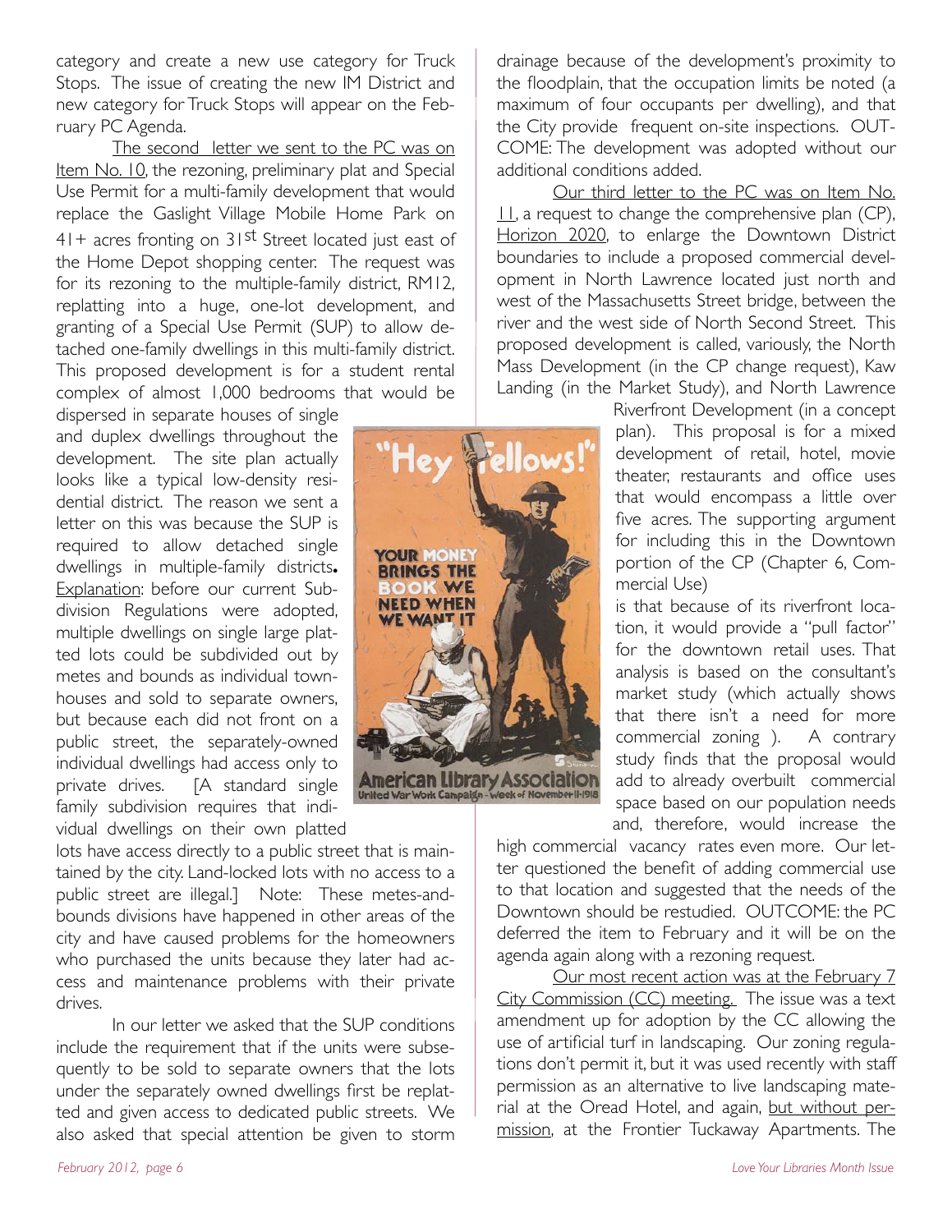category and create a new use category for Truck Stops. The issue of creating the new IM District and new category for Truck Stops will appear on the February PC Agenda.

The second letter we sent to the PC was on Item No. 10, the rezoning, preliminary plat and Special Use Permit for a multi-family development that would replace the Gaslight Village Mobile Home Park on  $41+$  acres fronting on  $31$ <sup>st</sup> Street located just east of the Home Depot shopping center. The request was for its rezoning to the multiple-family district, RM12, replatting into a huge, one-lot development, and granting of a Special Use Permit (SUP) to allow detached one-family dwellings in this multi-family district. This proposed development is for a student rental complex of almost 1,000 bedrooms that would be

dispersed in separate houses of single and duplex dwellings throughout the development. The site plan actually looks like a typical low-density residential district. The reason we sent a letter on this was because the SUP is required to allow detached single dwellings in multiple-family districts**.**  Explanation: before our current Subdivision Regulations were adopted, multiple dwellings on single large platted lots could be subdivided out by metes and bounds as individual townhouses and sold to separate owners, but because each did not front on a public street, the separately-owned individual dwellings had access only to private drives. [A standard single family subdivision requires that individual dwellings on their own platted

lots have access directly to a public street that is maintained by the city. Land-locked lots with no access to a public street are illegal.] Note: These metes-andbounds divisions have happened in other areas of the city and have caused problems for the homeowners who purchased the units because they later had access and maintenance problems with their private drives.

In our letter we asked that the SUP conditions include the requirement that if the units were subsequently to be sold to separate owners that the lots under the separately owned dwellings first be replatted and given access to dedicated public streets. We also asked that special attention be given to storm

drainage because of the development's proximity to the floodplain, that the occupation limits be noted (a maximum of four occupants per dwelling), and that the City provide frequent on-site inspections. OUT-COME: The development was adopted without our additional conditions added.

Our third letter to the PC was on Item No.  $11$ , a request to change the comprehensive plan (CP), Horizon 2020, to enlarge the Downtown District boundaries to include a proposed commercial development in North Lawrence located just north and west of the Massachusetts Street bridge, between the river and the west side of North Second Street. This proposed development is called, variously, the North Mass Development (in the CP change request), Kaw Landing (in the Market Study), and North Lawrence

> Riverfront Development (in a concept plan). This proposal is for a mixed development of retail, hotel, movie theater, restaurants and office uses that would encompass a little over five acres. The supporting argument for including this in the Downtown portion of the CP (Chapter 6, Commercial Use)

> is that because of its riverfront location, it would provide a "pull factor" for the downtown retail uses. That analysis is based on the consultant's market study (which actually shows that there isn't a need for more commercial zoning ). A contrary study finds that the proposal would add to already overbuilt commercial space based on our population needs and, therefore, would increase the

high commercial vacancy rates even more. Our letter questioned the benefit of adding commercial use to that location and suggested that the needs of the Downtown should be restudied. OUTCOME: the PC deferred the item to February and it will be on the agenda again along with a rezoning request.

Our most recent action was at the February 7 City Commission (CC) meeting. The issue was a text amendment up for adoption by the CC allowing the use of artificial turf in landscaping. Our zoning regulations don't permit it, but it was used recently with staff permission as an alternative to live landscaping material at the Oread Hotel, and again, but without permission, at the Frontier Tuckaway Apartments. The

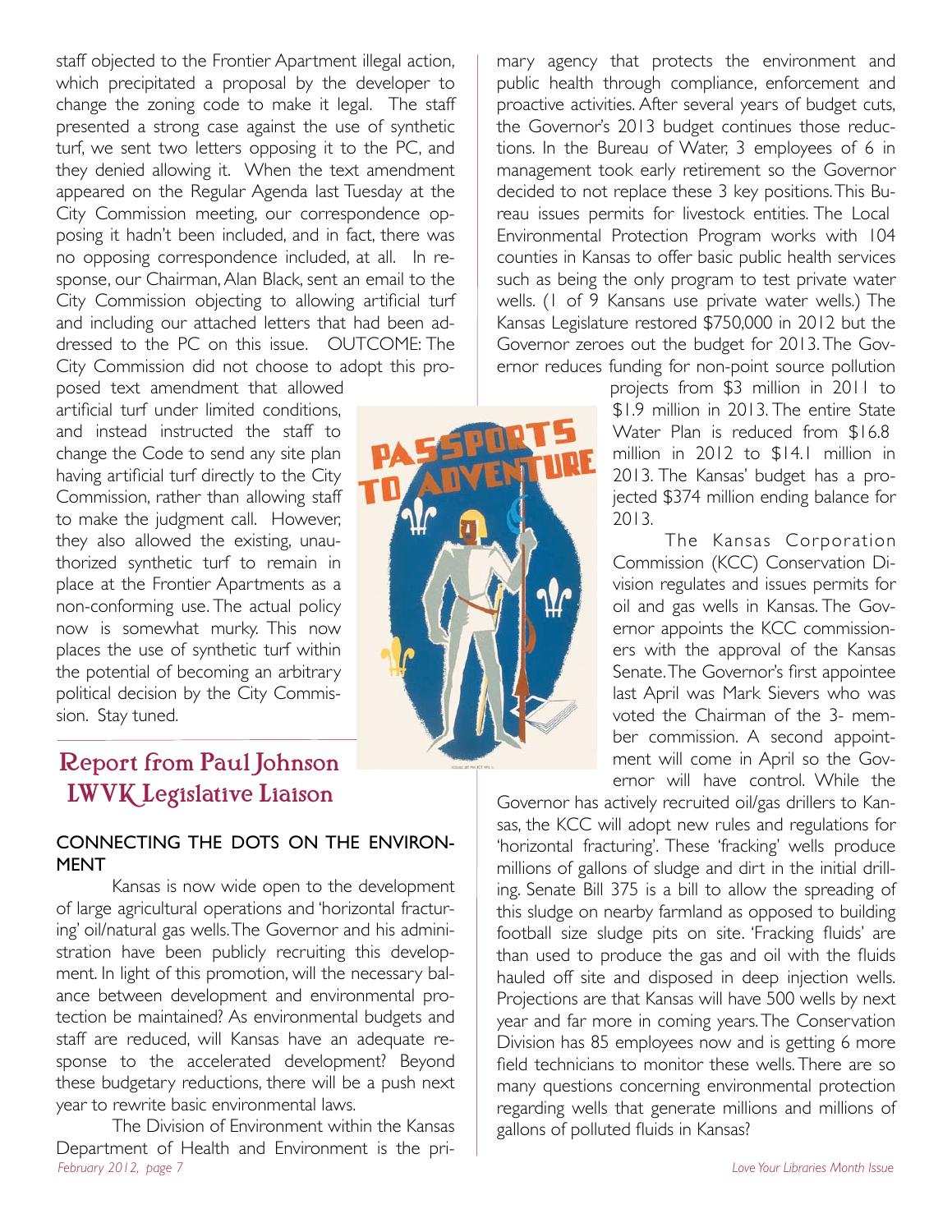staff objected to the Frontier Apartment illegal action, which precipitated a proposal by the developer to change the zoning code to make it legal. The staff presented a strong case against the use of synthetic turf, we sent two letters opposing it to the PC, and they denied allowing it. When the text amendment appeared on the Regular Agenda last Tuesday at the City Commission meeting, our correspondence opposing it hadn't been included, and in fact, there was no opposing correspondence included, at all. In response, our Chairman, Alan Black, sent an email to the City Commission objecting to allowing artificial turf and including our attached letters that had been addressed to the PC on this issue. OUTCOME: The City Commission did not choose to adopt this pro-

posed text amendment that allowed artificial turf under limited conditions, and instead instructed the staff to change the Code to send any site plan having artificial turf directly to the City Commission, rather than allowing staff to make the judgment call. However, they also allowed the existing, unauthorized synthetic turf to remain in place at the Frontier Apartments as a non-conforming use. The actual policy now is somewhat murky. This now places the use of synthetic turf within the potential of becoming an arbitrary political decision by the City Commission. Stay tuned.

### Report from Paul Johnson LWVK Legislative Liaison

#### CONNECTING THE DOTS ON THE ENVIRON-MENT

Kansas is now wide open to the development of large agricultural operations and 'horizontal fracturing' oil/natural gas wells. The Governor and his administration have been publicly recruiting this development. In light of this promotion, will the necessary balance between development and environmental protection be maintained? As environmental budgets and staff are reduced, will Kansas have an adequate response to the accelerated development? Beyond these budgetary reductions, there will be a push next year to rewrite basic environmental laws.

The Division of Environment within the Kansas Department of Health and Environment is the pri-*February 2012, page 7 Love Your Libraries Month Issue*

mary agency that protects the environment and public health through compliance, enforcement and proactive activities. After several years of budget cuts, the Governor's 2013 budget continues those reductions. In the Bureau of Water, 3 employees of 6 in management took early retirement so the Governor decided to not replace these 3 key positions. This Bureau issues permits for livestock entities. The Local Environmental Protection Program works with 104 counties in Kansas to offer basic public health services such as being the only program to test private water wells. (1 of 9 Kansans use private water wells.) The Kansas Legislature restored \$750,000 in 2012 but the Governor zeroes out the budget for 2013. The Governor reduces funding for non-point source pollution

projects from \$3 million in 2011 to \$1.9 million in 2013. The entire State Water Plan is reduced from \$16.8 million in 2012 to \$14.1 million in 2013. The Kansas' budget has a projected \$374 million ending balance for 2013.

The Kansas Corporation Commission (KCC) Conservation Division regulates and issues permits for oil and gas wells in Kansas. The Governor appoints the KCC commissioners with the approval of the Kansas Senate. The Governor's first appointee last April was Mark Sievers who was voted the Chairman of the 3- member commission. A second appointment will come in April so the Governor will have control. While the

Governor has actively recruited oil/gas drillers to Kansas, the KCC will adopt new rules and regulations for 'horizontal fracturing'. These 'fracking' wells produce millions of gallons of sludge and dirt in the initial drilling. Senate Bill 375 is a bill to allow the spreading of this sludge on nearby farmland as opposed to building football size sludge pits on site. 'Fracking fluids' are than used to produce the gas and oil with the fluids hauled off site and disposed in deep injection wells. Projections are that Kansas will have 500 wells by next year and far more in coming years. The Conservation Division has 85 employees now and is getting 6 more field technicians to monitor these wells. There are so many questions concerning environmental protection regarding wells that generate millions and millions of gallons of polluted fluids in Kansas?

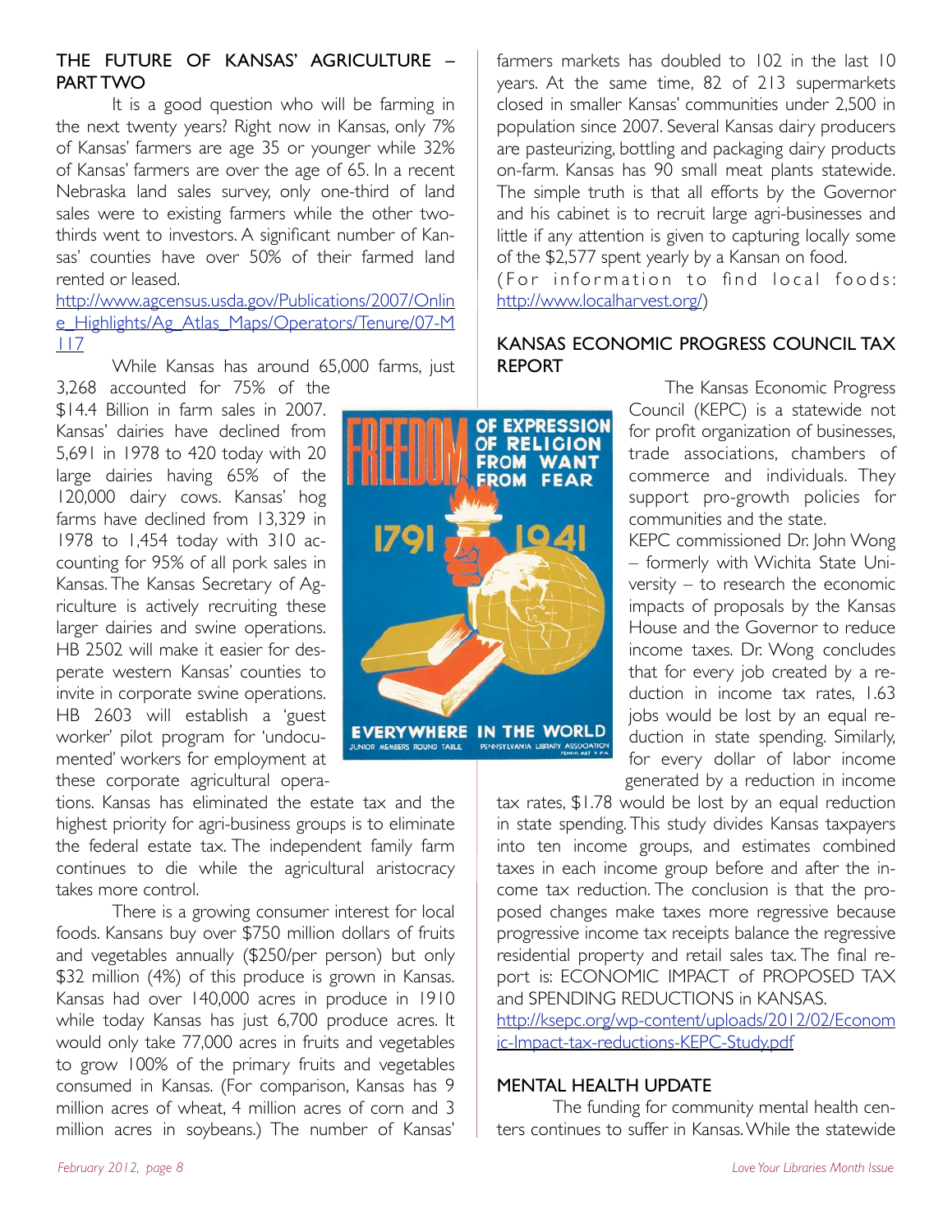#### THE FUTURE OF KANSAS' AGRICULTURE – PART TWO

It is a good question who will be farming in the next twenty years? Right now in Kansas, only 7% of Kansas' farmers are age 35 or younger while 32% of Kansas' farmers are over the age of 65. In a recent Nebraska land sales survey, only one-third of land sales were to existing farmers while the other twothirds went to investors. A significant number of Kansas' counties have over 50% of their farmed land rented or leased.

http://www.agcensus.usda.gov/Publications/2007/Onlin e\_Highlights/Ag\_Atlas\_Maps/Operators/Tenure/07-M 117

While Kansas has around 65,000 farms, just 3,268 accounted for 75% of the

\$14.4 Billion in farm sales in 2007. Kansas' dairies have declined from 5,691 in 1978 to 420 today with 20 large dairies having 65% of the 120,000 dairy cows. Kansas' hog farms have declined from 13,329 in 1978 to 1,454 today with 310 accounting for 95% of all pork sales in Kansas. The Kansas Secretary of Agriculture is actively recruiting these larger dairies and swine operations. HB 2502 will make it easier for desperate western Kansas' counties to invite in corporate swine operations. HB 2603 will establish a 'guest worker' pilot program for 'undocumented' workers for employment at these corporate agricultural opera-

tions. Kansas has eliminated the estate tax and the highest priority for agri-business groups is to eliminate the federal estate tax. The independent family farm continues to die while the agricultural aristocracy takes more control.

There is a growing consumer interest for local foods. Kansans buy over \$750 million dollars of fruits and vegetables annually (\$250/per person) but only \$32 million (4%) of this produce is grown in Kansas. Kansas had over 140,000 acres in produce in 1910 while today Kansas has just 6,700 produce acres. It would only take 77,000 acres in fruits and vegetables to grow 100% of the primary fruits and vegetables consumed in Kansas. (For comparison, Kansas has 9 million acres of wheat, 4 million acres of corn and 3 million acres in soybeans.) The number of Kansas'



farmers markets has doubled to 102 in the last 10 years. At the same time, 82 of 213 supermarkets closed in smaller Kansas' communities under 2,500 in population since 2007. Several Kansas dairy producers are pasteurizing, bottling and packaging dairy products on-farm. Kansas has 90 small meat plants statewide. The simple truth is that all efforts by the Governor and his cabinet is to recruit large agri-businesses and little if any attention is given to capturing locally some of the \$2,577 spent yearly by a Kansan on food.

(For information to find local foods: http://www.localharvest.org/)

#### KANSAS ECONOMIC PROGRESS COUNCIL TAX REPORT

The Kansas Economic Progress Council (KEPC) is a statewide not for profit organization of businesses, trade associations, chambers of commerce and individuals. They support pro-growth policies for communities and the state.

KEPC commissioned Dr. John Wong – formerly with Wichita State University – to research the economic impacts of proposals by the Kansas House and the Governor to reduce income taxes. Dr. Wong concludes that for every job created by a reduction in income tax rates, 1.63 jobs would be lost by an equal reduction in state spending. Similarly, for every dollar of labor income generated by a reduction in income

tax rates, \$1.78 would be lost by an equal reduction in state spending. This study divides Kansas taxpayers into ten income groups, and estimates combined taxes in each income group before and after the income tax reduction. The conclusion is that the proposed changes make taxes more regressive because progressive income tax receipts balance the regressive residential property and retail sales tax. The final report is: ECONOMIC IMPACT of PROPOSED TAX and SPENDING REDUCTIONS in KANSAS.

http://ksepc.org/wp-content/uploads/2012/02/Econom ic-Impact-tax-reductions-KEPC-Study.pdf

#### MENTAL HEALTH UPDATE

The funding for community mental health centers continues to suffer in Kansas. While the statewide